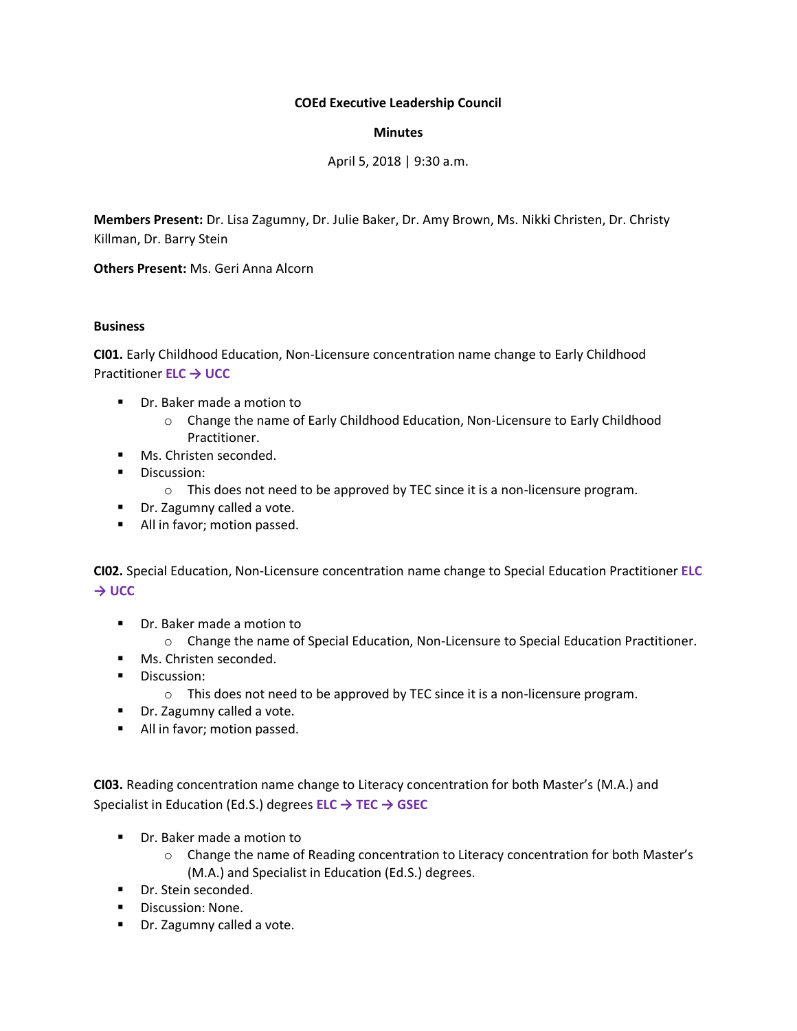# **COEd Executive Leadership Council**

# **Minutes**

April 5, 2018 | 9:30 a.m.

**Members Present:** Dr. Lisa Zagumny, Dr. Julie Baker, Dr. Amy Brown, Ms. Nikki Christen, Dr. Christy Killman, Dr. Barry Stein

**Others Present:** Ms. Geri Anna Alcorn

### **Business**

**CI01.** Early Childhood Education, Non-Licensure concentration name change to Early Childhood Practitioner **ELC → UCC**

- Dr. Baker made a motion to
	- o Change the name of Early Childhood Education, Non-Licensure to Early Childhood Practitioner.
- **Ms. Christen seconded.**
- **Discussion:** 
	- o This does not need to be approved by TEC since it is a non-licensure program.
- Dr. Zagumny called a vote.
- All in favor; motion passed.

**CI02.** Special Education, Non-Licensure concentration name change to Special Education Practitioner **ELC → UCC**

- **P** Dr. Baker made a motion to
	- o Change the name of Special Education, Non-Licensure to Special Education Practitioner.
- **Ms. Christen seconded.**
- **Discussion:** 
	- o This does not need to be approved by TEC since it is a non-licensure program.
- **Dr.** Zagumny called a vote.
- All in favor; motion passed.

**CI03.** Reading concentration name change to Literacy concentration for both Master's (M.A.) and Specialist in Education (Ed.S.) degrees **ELC → TEC → GSEC**

- **Dr.** Baker made a motion to
	- o Change the name of Reading concentration to Literacy concentration for both Master's (M.A.) and Specialist in Education (Ed.S.) degrees.
- Dr. Stein seconded.
- **Discussion: None.**
- **Dr.** Zagumny called a vote.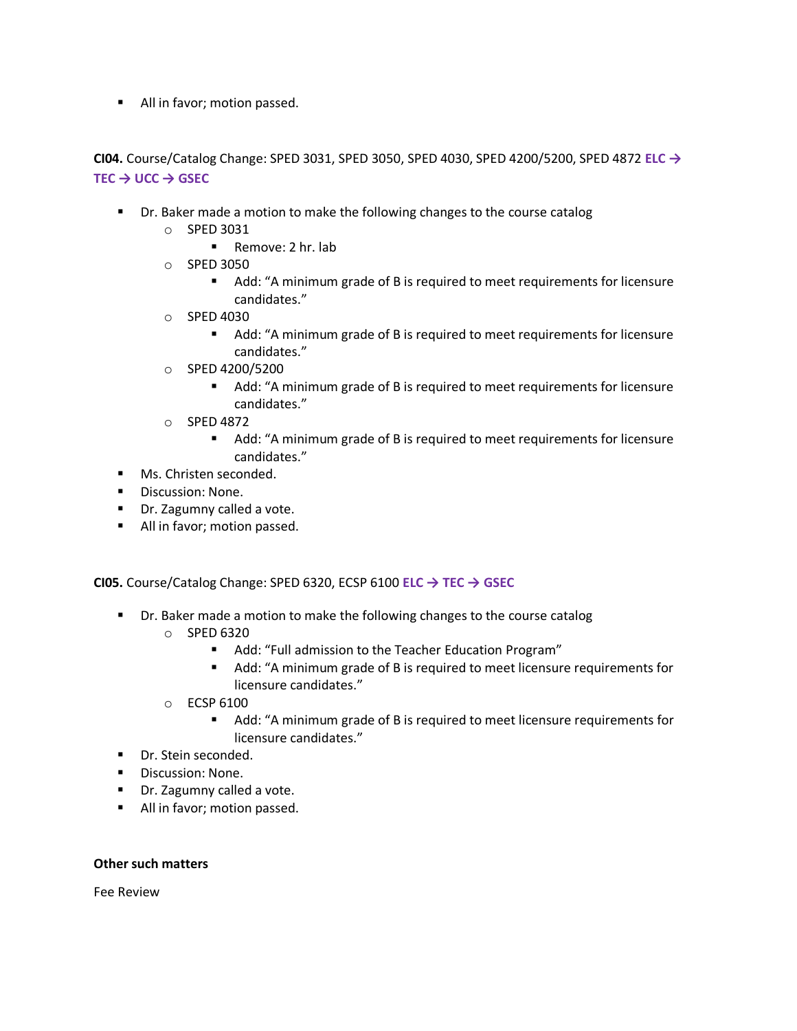All in favor; motion passed.

**CI04.** Course/Catalog Change: SPED 3031, SPED 3050, SPED 4030, SPED 4200/5200, SPED 4872 **ELC → TEC → UCC → GSEC**

- **•** Dr. Baker made a motion to make the following changes to the course catalog
	- o SPED 3031
		- Remove: 2 hr. lab
	- o SPED 3050
		- Add: "A minimum grade of B is required to meet requirements for licensure candidates."
	- o SPED 4030
		- Add: "A minimum grade of B is required to meet requirements for licensure candidates."
	- o SPED 4200/5200
		- Add: "A minimum grade of B is required to meet requirements for licensure candidates."
	- o SPED 4872
		- Add: "A minimum grade of B is required to meet requirements for licensure candidates."
- **Ms. Christen seconded.**
- **Discussion: None.**
- **Dr.** Zagumny called a vote.
- All in favor; motion passed.

**CI05.** Course/Catalog Change: SPED 6320, ECSP 6100 **ELC → TEC → GSEC**

- **•** Dr. Baker made a motion to make the following changes to the course catalog
	- $O$  SPED 6320
		- Add: "Full admission to the Teacher Education Program"
		- Add: "A minimum grade of B is required to meet licensure requirements for licensure candidates."
	- o ECSP 6100
		- Add: "A minimum grade of B is required to meet licensure requirements for licensure candidates."
- Dr. Stein seconded.
- **Discussion: None.**
- **Dr.** Zagumny called a vote.
- All in favor; motion passed.

### **Other such matters**

Fee Review